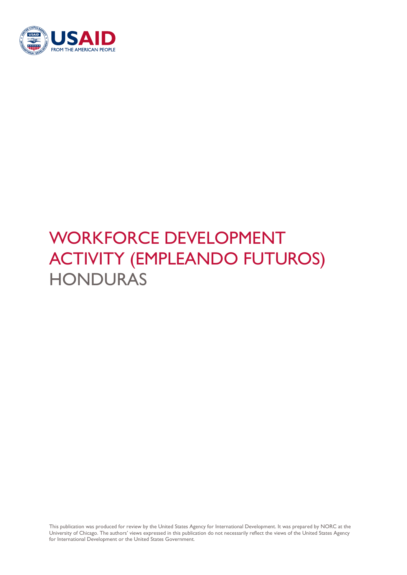

# WORKFORCE DEVELOPMENT ACTIVITY (EMPLEANDO FUTUROS) **HONDURAS**

This publication was produced for review by the United States Agency for International Development. It was prepared by NORC at the University of Chicago. The authors' views expressed in this publication do not necessarily reflect the views of the United States Agency for International Development or the United States Government.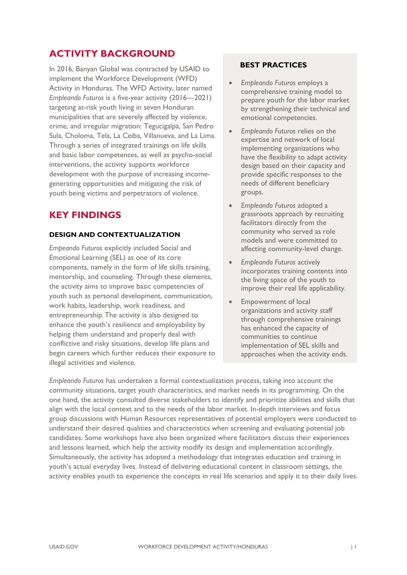# **ACTIVITY BACKGROUND**

In 2016, Banyan Global was contracted by USAID to implement the Workforce Development (WFD) Activity in Honduras. The WFD Activity, later named *Empleando Futuros* is a five-year activity (2016—2021) targeting at-risk youth living in seven Honduran municipalities that are severely affected by violence, crime, and irregular migration: Tegucigalpa, San Pedro Sula, Choloma, Tela, La Ceiba, Villanueva, and La Lima. Through a series of integrated trainings on life skills and basic labor competences, as well as psycho-social interventions, the activity supports workforce development with the purpose of increasing incomegenerating opportunities and mitigating the risk of youth being victims and perpetrators of violence.

### **KEY FINDINGS**

#### **DESIGN AND CONTEXTUALIZATION**

*Empeando Futuros* explicitly included Social and Emotional Learning (SEL) as one of its core components, namely in the form of life skills training, mentorship, and counseling. Through these elements, the activity aims to improve basic competencies of youth such as personal development, communication, work habits, leadership, work readiness, and entrepreneurship. The activity is also designed to enhance the youth's resilience and employability by helping them understand and properly deal with conflictive and risky situations, develop life plans and begin careers which further reduces their exposure to illegal activities and violence.

#### **BEST PRACTICES**

- *Empleando Futuros* employs a comprehensive training model to prepare youth for the labor market by strengthening their technical and emotional competencies.
- *Empleando Futuros* relies on the expertise and network of local implementing organizations who have the flexibility to adapt activity design based on their capacity and provide specific responses to the needs of different beneficiary groups.
- *Empleando Futuros* adopted a grassroots approach by recruiting facilitators directly from the community who served as role models and were committed to affecting community-level change.
- *Empleando Futuros* actively incorporates training contents into the living space of the youth to improve their real life applicability.
- Empowerment of local organizations and activity staff through comprehensive trainings has enhanced the capacity of communities to continue implementation of SEL skills and approaches when the activity ends.

*Empleando Futuros* has undertaken a formal contextualization process, taking into account the community situations, target youth characteristics, and market needs in its programming. On the one hand, the activity consulted diverse stakeholders to identify and prioritize abilities and skills that align with the local context and to the needs of the labor market. In-depth interviews and focus group discussions with Human Resources representatives of potential employers were conducted to understand their desired qualities and characteristics when screening and evaluating potential job candidates. Some workshops have also been organized where facilitators discuss their experiences and lessons learned, which help the activity modify its design and implementation accordingly. Simultaneously, the activity has adopted a methodology that integrates education and training in youth's actual everyday lives. Instead of delivering educational content in classroom settings, the activity enables youth to experience the concepts in real life scenarios and apply it to their daily lives.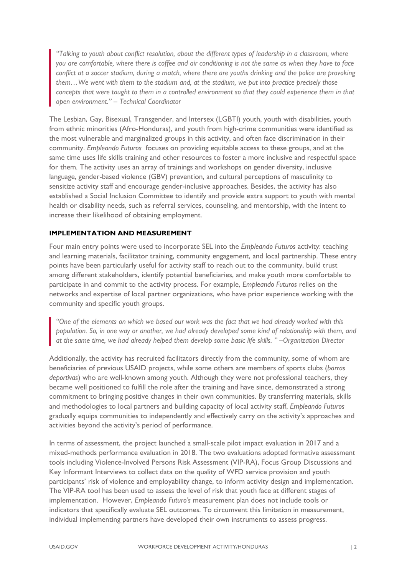*"Talking to youth about conflict resolution, about the different types of leadership in a classroom, where you are comfortable, where there is coffee and air conditioning is not the same as when they have to face conflict at a soccer stadium, during a match, where there are youths drinking and the police are provoking them…We went with them to the stadium and, at the stadium, we put into practice precisely those concepts that were taught to them in a controlled environment so that they could experience them in that open environment." – Technical Coordinator*

The Lesbian, Gay, Bisexual, Transgender, and Intersex (LGBTI) youth, youth with disabilities, youth from ethnic minorities (Afro-Honduras), and youth from high-crime communities were identified as the most vulnerable and marginalized groups in this activity, and often face discrimination in their community. *Empleando Futuros* focuses on providing equitable access to these groups, and at the same time uses life skills training and other resources to foster a more inclusive and respectful space for them. The activity uses an array of trainings and workshops on gender diversity, inclusive language, gender-based violence (GBV) prevention, and cultural perceptions of masculinity to sensitize activity staff and encourage gender-inclusive approaches. Besides, the activity has also established a Social Inclusion Committee to identify and provide extra support to youth with mental health or disability needs, such as referral services, counseling, and mentorship, with the intent to increase their likelihood of obtaining employment.

#### **IMPLEMENTATION AND MEASUREMENT**

Four main entry points were used to incorporate SEL into the *Empleando Futuros* activity: teaching and learning materials, facilitator training, community engagement, and local partnership. These entry points have been particularly useful for activity staff to reach out to the community, build trust among different stakeholders, identify potential beneficiaries, and make youth more comfortable to participate in and commit to the activity process. For example, *Empleando Futuros* relies on the networks and expertise of local partner organizations, who have prior experience working with the community and specific youth groups.

*"One of the elements on which we based our work was the fact that we had already worked with this population. So, in one way or another, we had already developed some kind of relationship with them, and at the same time, we had already helped them develop some basic life skills. " –Organization Director* 

Additionally, the activity has recruited facilitators directly from the community, some of whom are beneficiaries of previous USAID projects, while some others are members of sports clubs (*barras deportivas*) who are well-known among youth. Although they were not professional teachers, they became well positioned to fulfill the role after the training and have since, demonstrated a strong commitment to bringing positive changes in their own communities. By transferring materials, skills and methodologies to local partners and building capacity of local activity staff, *Empleando Futuros* gradually equips communities to independently and effectively carry on the activity's approaches and activities beyond the activity's period of performance.

In terms of assessment, the project launched a small-scale pilot impact evaluation in 2017 and a mixed-methods performance evaluation in 2018. The two evaluations adopted formative assessment tools including Violence-Involved Persons Risk Assessment (VIP-RA), Focus Group Discussions and Key Informant Interviews to collect data on the quality of WFD service provision and youth participants' risk of violence and employability change, to inform activity design and implementation. The VIP-RA tool has been used to assess the level of risk that youth face at different stages of implementation. However, *Empleando Futuro's* measurement plan does not include tools or indicators that specifically evaluate SEL outcomes. To circumvent this limitation in measurement, individual implementing partners have developed their own instruments to assess progress.